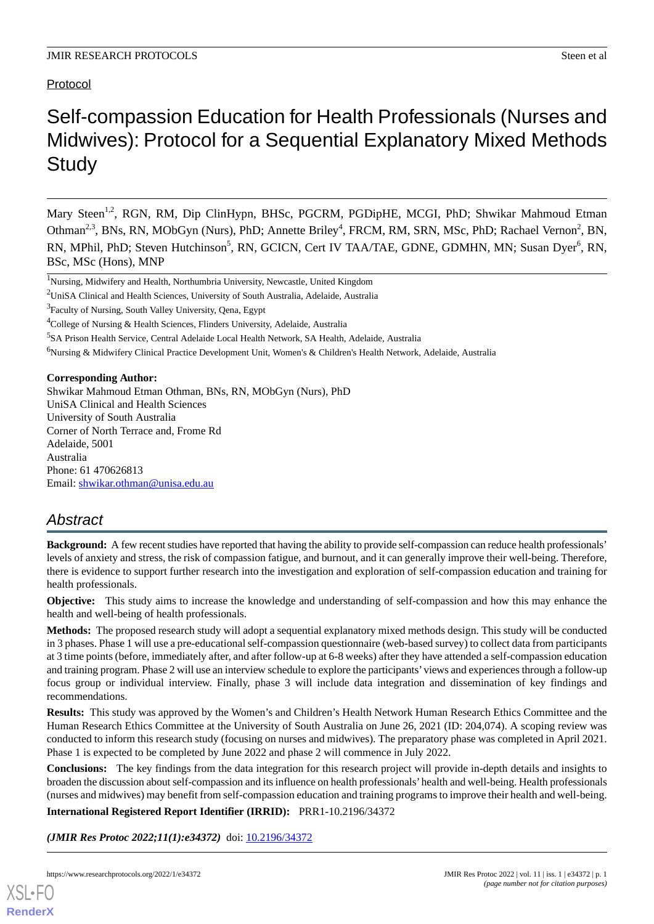## Protocol

# Self-compassion Education for Health Professionals (Nurses and Midwives): Protocol for a Sequential Explanatory Mixed Methods **Study**

Mary Steen<sup>1,2</sup>, RGN, RM, Dip ClinHypn, BHSc, PGCRM, PGDipHE, MCGI, PhD; Shwikar Mahmoud Etman Othman<sup>2,3</sup>, BNs, RN, MObGyn (Nurs), PhD; Annette Briley<sup>4</sup>, FRCM, RM, SRN, MSc, PhD; Rachael Vernon<sup>2</sup>, BN, RN, MPhil, PhD; Steven Hutchinson<sup>5</sup>, RN, GCICN, Cert IV TAA/TAE, GDNE, GDMHN, MN; Susan Dyer<sup>6</sup>, RN, BSc, MSc (Hons), MNP

<sup>1</sup>Nursing, Midwifery and Health, Northumbria University, Newcastle, United Kingdom

<sup>2</sup>UniSA Clinical and Health Sciences, University of South Australia, Adelaide, Australia

<sup>3</sup> Faculty of Nursing, South Valley University, Qena, Egypt

<sup>4</sup>College of Nursing & Health Sciences, Flinders University, Adelaide, Australia

<sup>5</sup>SA Prison Health Service, Central Adelaide Local Health Network, SA Health, Adelaide, Australia

<sup>6</sup>Nursing & Midwifery Clinical Practice Development Unit, Women's & Children's Health Network, Adelaide, Australia

**Corresponding Author:**

Shwikar Mahmoud Etman Othman, BNs, RN, MObGyn (Nurs), PhD UniSA Clinical and Health Sciences University of South Australia Corner of North Terrace and, Frome Rd Adelaide, 5001 Australia Phone: 61 470626813 Email: [shwikar.othman@unisa.edu.au](mailto:shwikar.othman@unisa.edu.au)

## *Abstract*

**Background:** A few recent studies have reported that having the ability to provide self-compassion can reduce health professionals' levels of anxiety and stress, the risk of compassion fatigue, and burnout, and it can generally improve their well-being. Therefore, there is evidence to support further research into the investigation and exploration of self-compassion education and training for health professionals.

**Objective:** This study aims to increase the knowledge and understanding of self-compassion and how this may enhance the health and well-being of health professionals.

**Methods:** The proposed research study will adopt a sequential explanatory mixed methods design. This study will be conducted in 3 phases. Phase 1 will use a pre-educational self-compassion questionnaire (web-based survey) to collect data from participants at 3 time points (before, immediately after, and after follow-up at 6-8 weeks) after they have attended a self-compassion education and training program. Phase 2 will use an interview schedule to explore the participants'views and experiences through a follow-up focus group or individual interview. Finally, phase 3 will include data integration and dissemination of key findings and recommendations.

**Results:** This study was approved by the Women's and Children's Health Network Human Research Ethics Committee and the Human Research Ethics Committee at the University of South Australia on June 26, 2021 (ID: 204,074). A scoping review was conducted to inform this research study (focusing on nurses and midwives). The preparatory phase was completed in April 2021. Phase 1 is expected to be completed by June 2022 and phase 2 will commence in July 2022.

**Conclusions:** The key findings from the data integration for this research project will provide in-depth details and insights to broaden the discussion about self-compassion and its influence on health professionals'health and well-being. Health professionals (nurses and midwives) may benefit from self-compassion education and training programs to improve their health and well-being.

**International Registered Report Identifier (IRRID):** PRR1-10.2196/34372

(JMIR Res Protoc 2022;11(1):e34372) doi: [10.2196/34372](http://dx.doi.org/10.2196/34372)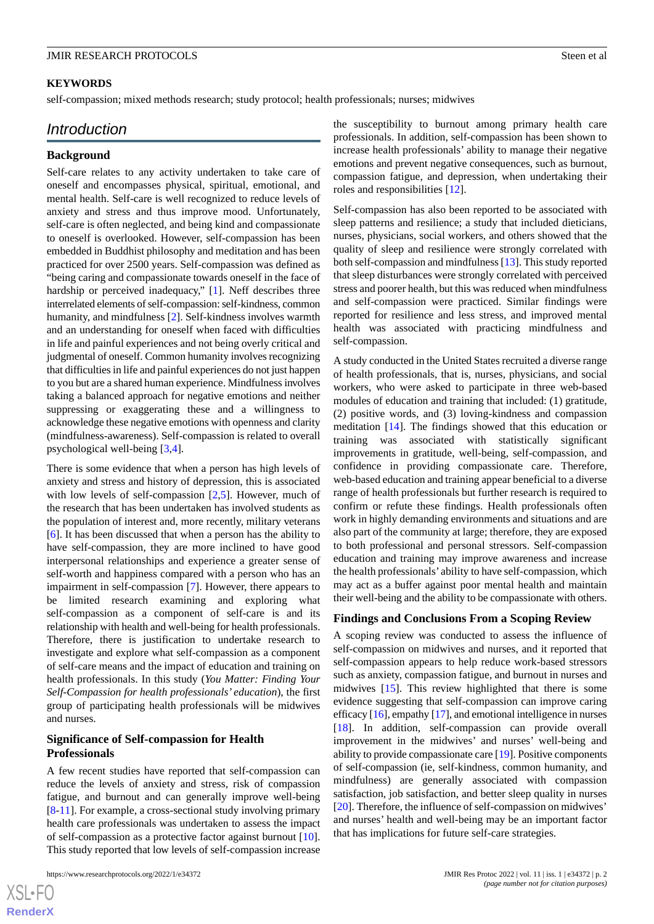#### **KEYWORDS**

self-compassion; mixed methods research; study protocol; health professionals; nurses; midwives

## *Introduction*

#### **Background**

Self-care relates to any activity undertaken to take care of oneself and encompasses physical, spiritual, emotional, and mental health. Self-care is well recognized to reduce levels of anxiety and stress and thus improve mood. Unfortunately, self-care is often neglected, and being kind and compassionate to oneself is overlooked. However, self-compassion has been embedded in Buddhist philosophy and meditation and has been practiced for over 2500 years. Self-compassion was defined as "being caring and compassionate towards oneself in the face of hardship or perceived inadequacy," [[1\]](#page-7-0). Neff describes three interrelated elements of self-compassion: self-kindness, common humanity, and mindfulness [[2\]](#page-7-1). Self-kindness involves warmth and an understanding for oneself when faced with difficulties in life and painful experiences and not being overly critical and judgmental of oneself. Common humanity involves recognizing that difficulties in life and painful experiences do not just happen to you but are a shared human experience. Mindfulness involves taking a balanced approach for negative emotions and neither suppressing or exaggerating these and a willingness to acknowledge these negative emotions with openness and clarity (mindfulness-awareness). Self-compassion is related to overall psychological well-being [\[3](#page-8-0),[4\]](#page-8-1).

There is some evidence that when a person has high levels of anxiety and stress and history of depression, this is associated with low levels of self-compassion  $[2,5]$  $[2,5]$  $[2,5]$ . However, much of the research that has been undertaken has involved students as the population of interest and, more recently, military veterans [[6\]](#page-8-3). It has been discussed that when a person has the ability to have self-compassion, they are more inclined to have good interpersonal relationships and experience a greater sense of self-worth and happiness compared with a person who has an impairment in self-compassion [\[7](#page-8-4)]. However, there appears to be limited research examining and exploring what self-compassion as a component of self-care is and its relationship with health and well-being for health professionals. Therefore, there is justification to undertake research to investigate and explore what self-compassion as a component of self-care means and the impact of education and training on health professionals. In this study (*You Matter: Finding Your Self-Compassion for health professionals' education*), the first group of participating health professionals will be midwives and nurses.

## **Significance of Self-compassion for Health Professionals**

A few recent studies have reported that self-compassion can reduce the levels of anxiety and stress, risk of compassion fatigue, and burnout and can generally improve well-being [[8](#page-8-5)[-11](#page-8-6)]. For example, a cross-sectional study involving primary health care professionals was undertaken to assess the impact of self-compassion as a protective factor against burnout [[10\]](#page-8-7). This study reported that low levels of self-compassion increase

the susceptibility to burnout among primary health care professionals. In addition, self-compassion has been shown to increase health professionals' ability to manage their negative emotions and prevent negative consequences, such as burnout, compassion fatigue, and depression, when undertaking their roles and responsibilities [[12\]](#page-8-8).

Self-compassion has also been reported to be associated with sleep patterns and resilience; a study that included dieticians, nurses, physicians, social workers, and others showed that the quality of sleep and resilience were strongly correlated with both self-compassion and mindfulness [\[13](#page-8-9)]. This study reported that sleep disturbances were strongly correlated with perceived stress and poorer health, but this was reduced when mindfulness and self-compassion were practiced. Similar findings were reported for resilience and less stress, and improved mental health was associated with practicing mindfulness and self-compassion.

A study conducted in the United States recruited a diverse range of health professionals, that is, nurses, physicians, and social workers, who were asked to participate in three web-based modules of education and training that included: (1) gratitude, (2) positive words, and (3) loving-kindness and compassion meditation [[14\]](#page-8-10). The findings showed that this education or training was associated with statistically significant improvements in gratitude, well-being, self-compassion, and confidence in providing compassionate care. Therefore, web-based education and training appear beneficial to a diverse range of health professionals but further research is required to confirm or refute these findings. Health professionals often work in highly demanding environments and situations and are also part of the community at large; therefore, they are exposed to both professional and personal stressors. Self-compassion education and training may improve awareness and increase the health professionals' ability to have self-compassion, which may act as a buffer against poor mental health and maintain their well-being and the ability to be compassionate with others.

#### **Findings and Conclusions From a Scoping Review**

A scoping review was conducted to assess the influence of self-compassion on midwives and nurses, and it reported that self-compassion appears to help reduce work-based stressors such as anxiety, compassion fatigue, and burnout in nurses and midwives [\[15](#page-8-11)]. This review highlighted that there is some evidence suggesting that self-compassion can improve caring efficacy [[16\]](#page-8-12), empathy [\[17\]](#page-8-13), and emotional intelligence in nurses [[18\]](#page-8-14). In addition, self-compassion can provide overall improvement in the midwives' and nurses' well-being and ability to provide compassionate care [\[19\]](#page-8-15). Positive components of self-compassion (ie, self-kindness, common humanity, and mindfulness) are generally associated with compassion satisfaction, job satisfaction, and better sleep quality in nurses [[20\]](#page-8-16). Therefore, the influence of self-compassion on midwives' and nurses' health and well-being may be an important factor that has implications for future self-care strategies.

```
XSL•FO
RenderX
```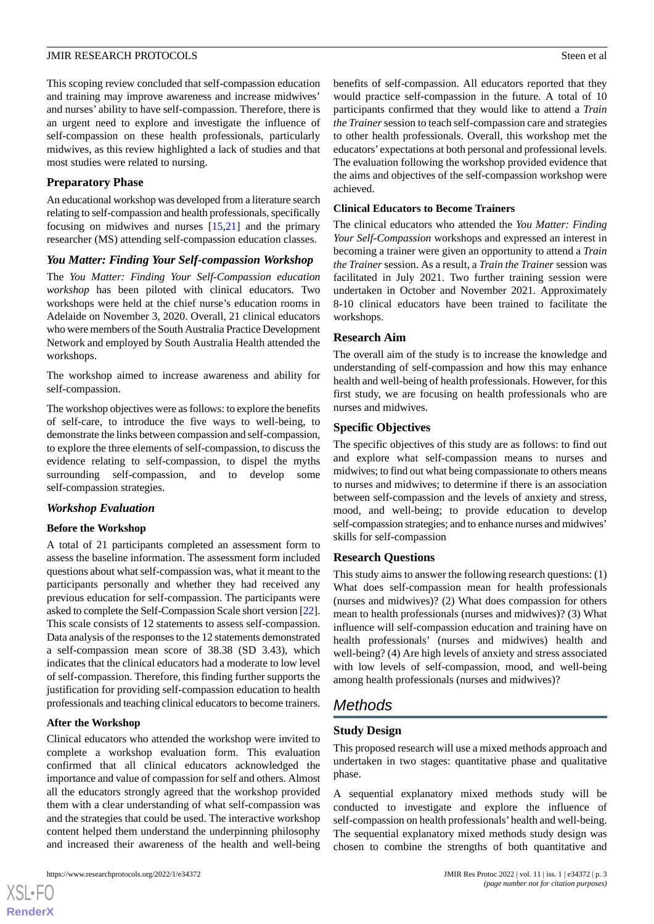This scoping review concluded that self-compassion education and training may improve awareness and increase midwives' and nurses' ability to have self-compassion. Therefore, there is an urgent need to explore and investigate the influence of self-compassion on these health professionals, particularly midwives, as this review highlighted a lack of studies and that most studies were related to nursing.

### **Preparatory Phase**

An educational workshop was developed from a literature search relating to self-compassion and health professionals, specifically focusing on midwives and nurses [[15,](#page-8-11)[21\]](#page-8-17) and the primary researcher (MS) attending self-compassion education classes.

#### *You Matter: Finding Your Self-compassion Workshop*

The *You Matter: Finding Your Self-Compassion education workshop* has been piloted with clinical educators. Two workshops were held at the chief nurse's education rooms in Adelaide on November 3, 2020. Overall, 21 clinical educators who were members of the South Australia Practice Development Network and employed by South Australia Health attended the workshops.

The workshop aimed to increase awareness and ability for self-compassion.

The workshop objectives were as follows: to explore the benefits of self-care, to introduce the five ways to well-being, to demonstrate the links between compassion and self-compassion, to explore the three elements of self-compassion, to discuss the evidence relating to self-compassion, to dispel the myths surrounding self-compassion, and to develop some self-compassion strategies.

#### *Workshop Evaluation*

#### **Before the Workshop**

A total of 21 participants completed an assessment form to assess the baseline information. The assessment form included questions about what self-compassion was, what it meant to the participants personally and whether they had received any previous education for self-compassion. The participants were asked to complete the Self-Compassion Scale short version [\[22\]](#page-8-18). This scale consists of 12 statements to assess self-compassion. Data analysis of the responses to the 12 statements demonstrated a self-compassion mean score of 38.38 (SD 3.43), which indicates that the clinical educators had a moderate to low level of self-compassion. Therefore, this finding further supports the justification for providing self-compassion education to health professionals and teaching clinical educators to become trainers.

#### **After the Workshop**

Clinical educators who attended the workshop were invited to complete a workshop evaluation form. This evaluation confirmed that all clinical educators acknowledged the importance and value of compassion for self and others. Almost all the educators strongly agreed that the workshop provided them with a clear understanding of what self-compassion was and the strategies that could be used. The interactive workshop content helped them understand the underpinning philosophy and increased their awareness of the health and well-being

[XSL](http://www.w3.org/Style/XSL)•FO **[RenderX](http://www.renderx.com/)**

benefits of self-compassion. All educators reported that they would practice self-compassion in the future. A total of 10 participants confirmed that they would like to attend a *Train the Trainer* session to teach self-compassion care and strategies to other health professionals. Overall, this workshop met the educators' expectations at both personal and professional levels. The evaluation following the workshop provided evidence that the aims and objectives of the self-compassion workshop were achieved.

#### **Clinical Educators to Become Trainers**

The clinical educators who attended the *You Matter: Finding Your Self-Compassion* workshops and expressed an interest in becoming a trainer were given an opportunity to attend a *Train the Trainer* session. As a result, a *Train the Trainer* session was facilitated in July 2021. Two further training session were undertaken in October and November 2021. Approximately 8-10 clinical educators have been trained to facilitate the workshops.

### **Research Aim**

The overall aim of the study is to increase the knowledge and understanding of self-compassion and how this may enhance health and well-being of health professionals. However, for this first study, we are focusing on health professionals who are nurses and midwives.

### **Specific Objectives**

The specific objectives of this study are as follows: to find out and explore what self-compassion means to nurses and midwives; to find out what being compassionate to others means to nurses and midwives; to determine if there is an association between self-compassion and the levels of anxiety and stress, mood, and well-being; to provide education to develop self-compassion strategies; and to enhance nurses and midwives' skills for self-compassion

### **Research Questions**

This study aims to answer the following research questions: (1) What does self-compassion mean for health professionals (nurses and midwives)? (2) What does compassion for others mean to health professionals (nurses and midwives)? (3) What influence will self-compassion education and training have on health professionals' (nurses and midwives) health and well-being? (4) Are high levels of anxiety and stress associated with low levels of self-compassion, mood, and well-being among health professionals (nurses and midwives)?

## *Methods*

## **Study Design**

This proposed research will use a mixed methods approach and undertaken in two stages: quantitative phase and qualitative phase.

A sequential explanatory mixed methods study will be conducted to investigate and explore the influence of self-compassion on health professionals'health and well-being. The sequential explanatory mixed methods study design was chosen to combine the strengths of both quantitative and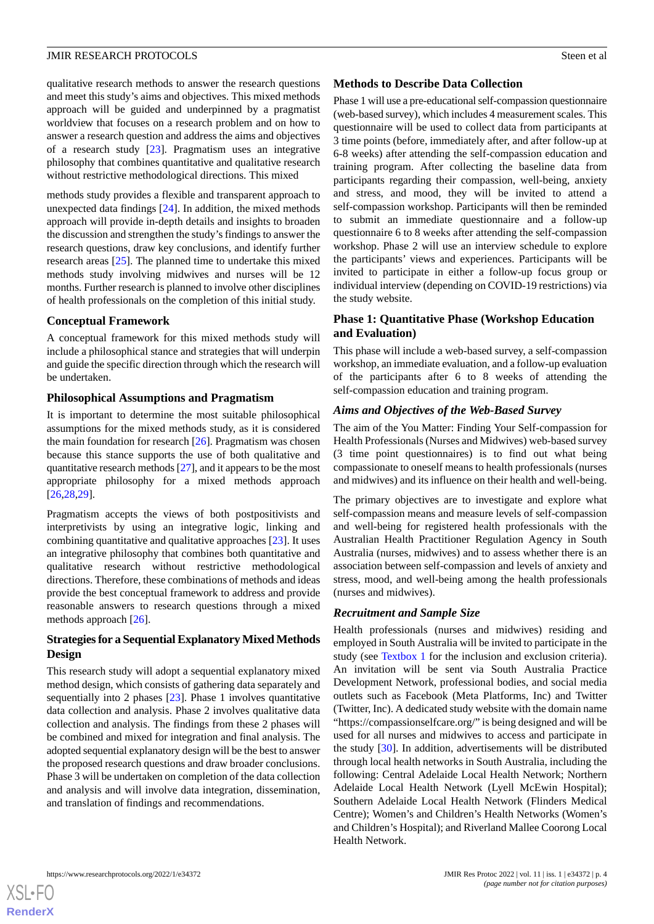qualitative research methods to answer the research questions and meet this study's aims and objectives. This mixed methods approach will be guided and underpinned by a pragmatist worldview that focuses on a research problem and on how to answer a research question and address the aims and objectives of a research study [\[23](#page-8-19)]. Pragmatism uses an integrative philosophy that combines quantitative and qualitative research without restrictive methodological directions. This mixed

methods study provides a flexible and transparent approach to unexpected data findings [\[24](#page-8-20)]. In addition, the mixed methods approach will provide in-depth details and insights to broaden the discussion and strengthen the study's findings to answer the research questions, draw key conclusions, and identify further research areas [\[25](#page-8-21)]. The planned time to undertake this mixed methods study involving midwives and nurses will be 12 months. Further research is planned to involve other disciplines of health professionals on the completion of this initial study.

#### **Conceptual Framework**

A conceptual framework for this mixed methods study will include a philosophical stance and strategies that will underpin and guide the specific direction through which the research will be undertaken.

### **Philosophical Assumptions and Pragmatism**

It is important to determine the most suitable philosophical assumptions for the mixed methods study, as it is considered the main foundation for research [[26\]](#page-8-22). Pragmatism was chosen because this stance supports the use of both qualitative and quantitative research methods [\[27](#page-9-0)], and it appears to be the most appropriate philosophy for a mixed methods approach [[26](#page-8-22)[,28](#page-9-1),[29\]](#page-9-2).

Pragmatism accepts the views of both postpositivists and interpretivists by using an integrative logic, linking and combining quantitative and qualitative approaches [[23\]](#page-8-19). It uses an integrative philosophy that combines both quantitative and qualitative research without restrictive methodological directions. Therefore, these combinations of methods and ideas provide the best conceptual framework to address and provide reasonable answers to research questions through a mixed methods approach [\[26](#page-8-22)].

## **Strategies for a Sequential Explanatory Mixed Methods Design**

This research study will adopt a sequential explanatory mixed method design, which consists of gathering data separately and sequentially into 2 phases [\[23](#page-8-19)]. Phase 1 involves quantitative data collection and analysis. Phase 2 involves qualitative data collection and analysis. The findings from these 2 phases will be combined and mixed for integration and final analysis. The adopted sequential explanatory design will be the best to answer the proposed research questions and draw broader conclusions. Phase 3 will be undertaken on completion of the data collection and analysis and will involve data integration, dissemination, and translation of findings and recommendations.

## **Methods to Describe Data Collection**

Phase 1 will use a pre-educational self-compassion questionnaire (web-based survey), which includes 4 measurement scales. This questionnaire will be used to collect data from participants at 3 time points (before, immediately after, and after follow-up at 6-8 weeks) after attending the self-compassion education and training program. After collecting the baseline data from participants regarding their compassion, well-being, anxiety and stress, and mood, they will be invited to attend a self-compassion workshop. Participants will then be reminded to submit an immediate questionnaire and a follow-up questionnaire 6 to 8 weeks after attending the self-compassion workshop. Phase 2 will use an interview schedule to explore the participants' views and experiences. Participants will be invited to participate in either a follow-up focus group or individual interview (depending on COVID-19 restrictions) via the study website.

## **Phase 1: Quantitative Phase (Workshop Education and Evaluation)**

This phase will include a web-based survey, a self-compassion workshop, an immediate evaluation, and a follow-up evaluation of the participants after 6 to 8 weeks of attending the self-compassion education and training program.

### *Aims and Objectives of the Web-Based Survey*

The aim of the You Matter: Finding Your Self-compassion for Health Professionals (Nurses and Midwives) web-based survey (3 time point questionnaires) is to find out what being compassionate to oneself means to health professionals (nurses and midwives) and its influence on their health and well-being.

The primary objectives are to investigate and explore what self-compassion means and measure levels of self-compassion and well-being for registered health professionals with the Australian Health Practitioner Regulation Agency in South Australia (nurses, midwives) and to assess whether there is an association between self-compassion and levels of anxiety and stress, mood, and well-being among the health professionals (nurses and midwives).

## *Recruitment and Sample Size*

Health professionals (nurses and midwives) residing and employed in South Australia will be invited to participate in the study (see [Textbox 1](#page-4-0) for the inclusion and exclusion criteria). An invitation will be sent via South Australia Practice Development Network, professional bodies, and social media outlets such as Facebook (Meta Platforms, Inc) and Twitter (Twitter, Inc). A dedicated study website with the domain name "https://compassionselfcare.org/" is being designed and will be used for all nurses and midwives to access and participate in the study [\[30](#page-9-3)]. In addition, advertisements will be distributed through local health networks in South Australia, including the following: Central Adelaide Local Health Network; Northern Adelaide Local Health Network (Lyell McEwin Hospital); Southern Adelaide Local Health Network (Flinders Medical Centre); Women's and Children's Health Networks (Women's and Children's Hospital); and Riverland Mallee Coorong Local Health Network.

 $XS$  $\cdot$ FC **[RenderX](http://www.renderx.com/)**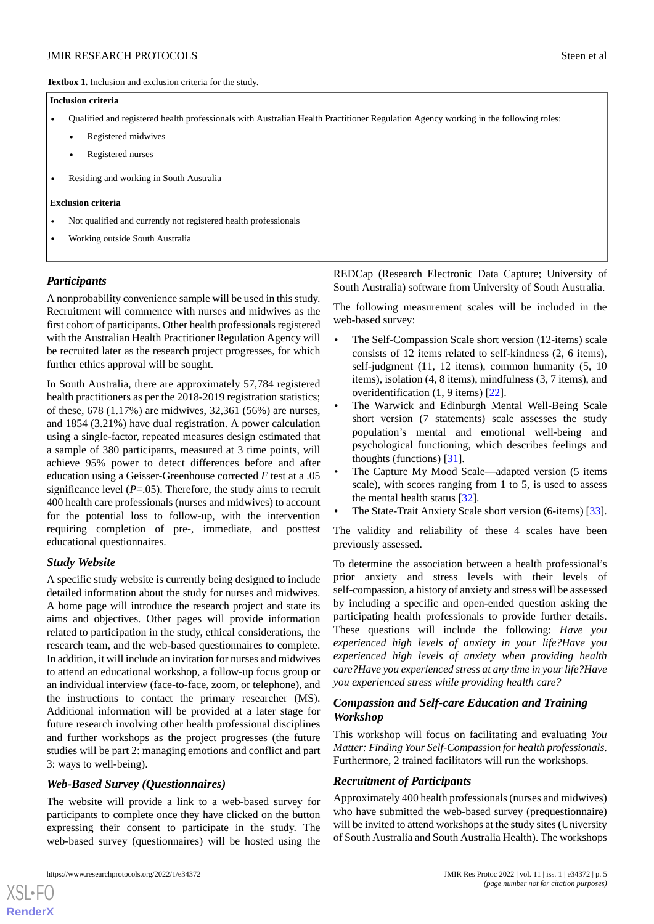<span id="page-4-0"></span>**Textbox 1.** Inclusion and exclusion criteria for the study.

#### **Inclusion criteria**

- Qualified and registered health professionals with Australian Health Practitioner Regulation Agency working in the following roles:
	- Registered midwives
	- Registered nurses
- Residing and working in South Australia

#### **Exclusion criteria**

- Not qualified and currently not registered health professionals
- Working outside South Australia

#### *Participants*

A nonprobability convenience sample will be used in this study. Recruitment will commence with nurses and midwives as the first cohort of participants. Other health professionals registered with the Australian Health Practitioner Regulation Agency will be recruited later as the research project progresses, for which further ethics approval will be sought.

In South Australia, there are approximately 57,784 registered health practitioners as per the 2018-2019 registration statistics; of these, 678 (1.17%) are midwives, 32,361 (56%) are nurses, and 1854 (3.21%) have dual registration. A power calculation using a single-factor, repeated measures design estimated that a sample of 380 participants, measured at 3 time points, will achieve 95% power to detect differences before and after education using a Geisser-Greenhouse corrected *F* test at a .05 significance level  $(P=0.05)$ . Therefore, the study aims to recruit 400 health care professionals (nurses and midwives) to account for the potential loss to follow-up, with the intervention requiring completion of pre-, immediate, and posttest educational questionnaires.

#### *Study Website*

A specific study website is currently being designed to include detailed information about the study for nurses and midwives. A home page will introduce the research project and state its aims and objectives. Other pages will provide information related to participation in the study, ethical considerations, the research team, and the web-based questionnaires to complete. In addition, it will include an invitation for nurses and midwives to attend an educational workshop, a follow-up focus group or an individual interview (face-to-face, zoom, or telephone), and the instructions to contact the primary researcher (MS). Additional information will be provided at a later stage for future research involving other health professional disciplines and further workshops as the project progresses (the future studies will be part 2: managing emotions and conflict and part 3: ways to well-being).

#### *Web-Based Survey (Questionnaires)*

The website will provide a link to a web-based survey for participants to complete once they have clicked on the button expressing their consent to participate in the study. The web-based survey (questionnaires) will be hosted using the

[XSL](http://www.w3.org/Style/XSL)•FO **[RenderX](http://www.renderx.com/)**

REDCap (Research Electronic Data Capture; University of South Australia) software from University of South Australia.

The following measurement scales will be included in the web-based survey:

- The Self-Compassion Scale short version (12-items) scale consists of 12 items related to self-kindness (2, 6 items), self-judgment (11, 12 items), common humanity (5, 10 items), isolation (4, 8 items), mindfulness (3, 7 items), and overidentification (1, 9 items) [\[22](#page-8-18)].
- The Warwick and Edinburgh Mental Well-Being Scale short version (7 statements) scale assesses the study population's mental and emotional well-being and psychological functioning, which describes feelings and thoughts (functions) [\[31](#page-9-4)].
- The Capture My Mood Scale—adapted version (5 items scale), with scores ranging from 1 to 5, is used to assess the mental health status [[32\]](#page-9-5).
- The State-Trait Anxiety Scale short version (6-items) [[33\]](#page-9-6).

The validity and reliability of these 4 scales have been previously assessed.

To determine the association between a health professional's prior anxiety and stress levels with their levels of self-compassion, a history of anxiety and stress will be assessed by including a specific and open-ended question asking the participating health professionals to provide further details. These questions will include the following: *Have you experienced high levels of anxiety in your life?Have you experienced high levels of anxiety when providing health care?Have you experienced stress at any time in your life?Have you experienced stress while providing health care?*

### *Compassion and Self-care Education and Training Workshop*

This workshop will focus on facilitating and evaluating *You Matter: Finding Your Self-Compassion for health professionals*. Furthermore, 2 trained facilitators will run the workshops.

#### *Recruitment of Participants*

Approximately 400 health professionals (nurses and midwives) who have submitted the web-based survey (prequestionnaire) will be invited to attend workshops at the study sites (University of South Australia and South Australia Health). The workshops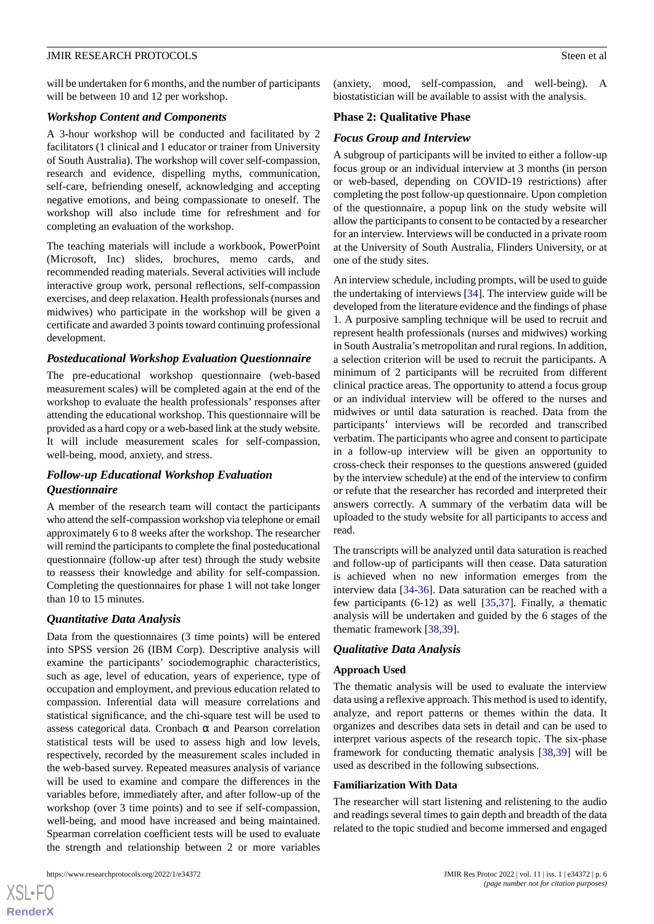will be undertaken for 6 months, and the number of participants will be between 10 and 12 per workshop.

#### *Workshop Content and Components*

A 3-hour workshop will be conducted and facilitated by 2 facilitators (1 clinical and 1 educator or trainer from University of South Australia). The workshop will cover self-compassion, research and evidence, dispelling myths, communication, self-care, befriending oneself, acknowledging and accepting negative emotions, and being compassionate to oneself. The workshop will also include time for refreshment and for completing an evaluation of the workshop.

The teaching materials will include a workbook, PowerPoint (Microsoft, Inc) slides, brochures, memo cards, and recommended reading materials. Several activities will include interactive group work, personal reflections, self-compassion exercises, and deep relaxation. Health professionals (nurses and midwives) who participate in the workshop will be given a certificate and awarded 3 points toward continuing professional development.

#### *Posteducational Workshop Evaluation Questionnaire*

The pre-educational workshop questionnaire (web-based measurement scales) will be completed again at the end of the workshop to evaluate the health professionals' responses after attending the educational workshop. This questionnaire will be provided as a hard copy or a web-based link at the study website. It will include measurement scales for self-compassion, well-being, mood, anxiety, and stress.

## *Follow-up Educational Workshop Evaluation Questionnaire*

A member of the research team will contact the participants who attend the self-compassion workshop via telephone or email approximately 6 to 8 weeks after the workshop. The researcher will remind the participants to complete the final posteducational questionnaire (follow-up after test) through the study website to reassess their knowledge and ability for self-compassion. Completing the questionnaires for phase 1 will not take longer than 10 to 15 minutes.

#### *Quantitative Data Analysis*

Data from the questionnaires (3 time points) will be entered into SPSS version 26 (IBM Corp). Descriptive analysis will examine the participants' sociodemographic characteristics, such as age, level of education, years of experience, type of occupation and employment, and previous education related to compassion. Inferential data will measure correlations and statistical significance, and the chi-square test will be used to assess categorical data. Cronbach  $\alpha$  and Pearson correlation statistical tests will be used to assess high and low levels, respectively, recorded by the measurement scales included in the web-based survey. Repeated measures analysis of variance will be used to examine and compare the differences in the variables before, immediately after, and after follow-up of the workshop (over 3 time points) and to see if self-compassion, well-being, and mood have increased and being maintained. Spearman correlation coefficient tests will be used to evaluate the strength and relationship between 2 or more variables

 $XS$  $\cdot$ FC **[RenderX](http://www.renderx.com/)** (anxiety, mood, self-compassion, and well-being). A biostatistician will be available to assist with the analysis.

#### **Phase 2: Qualitative Phase**

#### *Focus Group and Interview*

A subgroup of participants will be invited to either a follow-up focus group or an individual interview at 3 months (in person or web-based, depending on COVID-19 restrictions) after completing the post follow-up questionnaire. Upon completion of the questionnaire, a popup link on the study website will allow the participants to consent to be contacted by a researcher for an interview. Interviews will be conducted in a private room at the University of South Australia, Flinders University, or at one of the study sites.

An interview schedule, including prompts, will be used to guide the undertaking of interviews [[34\]](#page-9-7). The interview guide will be developed from the literature evidence and the findings of phase 1. A purposive sampling technique will be used to recruit and represent health professionals (nurses and midwives) working in South Australia's metropolitan and rural regions. In addition, a selection criterion will be used to recruit the participants. A minimum of 2 participants will be recruited from different clinical practice areas. The opportunity to attend a focus group or an individual interview will be offered to the nurses and midwives or until data saturation is reached. Data from the participants' interviews will be recorded and transcribed verbatim. The participants who agree and consent to participate in a follow-up interview will be given an opportunity to cross-check their responses to the questions answered (guided by the interview schedule) at the end of the interview to confirm or refute that the researcher has recorded and interpreted their answers correctly. A summary of the verbatim data will be uploaded to the study website for all participants to access and read.

The transcripts will be analyzed until data saturation is reached and follow-up of participants will then cease. Data saturation is achieved when no new information emerges from the interview data [\[34](#page-9-7)-[36\]](#page-9-8). Data saturation can be reached with a few participants  $(6-12)$  as well  $[35,37]$  $[35,37]$  $[35,37]$  $[35,37]$ . Finally, a thematic analysis will be undertaken and guided by the 6 stages of the thematic framework [[38](#page-9-11)[,39](#page-9-12)].

#### *Qualitative Data Analysis*

#### **Approach Used**

The thematic analysis will be used to evaluate the interview data using a reflexive approach. This method is used to identify, analyze, and report patterns or themes within the data. It organizes and describes data sets in detail and can be used to interpret various aspects of the research topic. The six-phase framework for conducting thematic analysis [[38,](#page-9-11)[39](#page-9-12)] will be used as described in the following subsections.

#### **Familiarization With Data**

The researcher will start listening and relistening to the audio and readings several times to gain depth and breadth of the data related to the topic studied and become immersed and engaged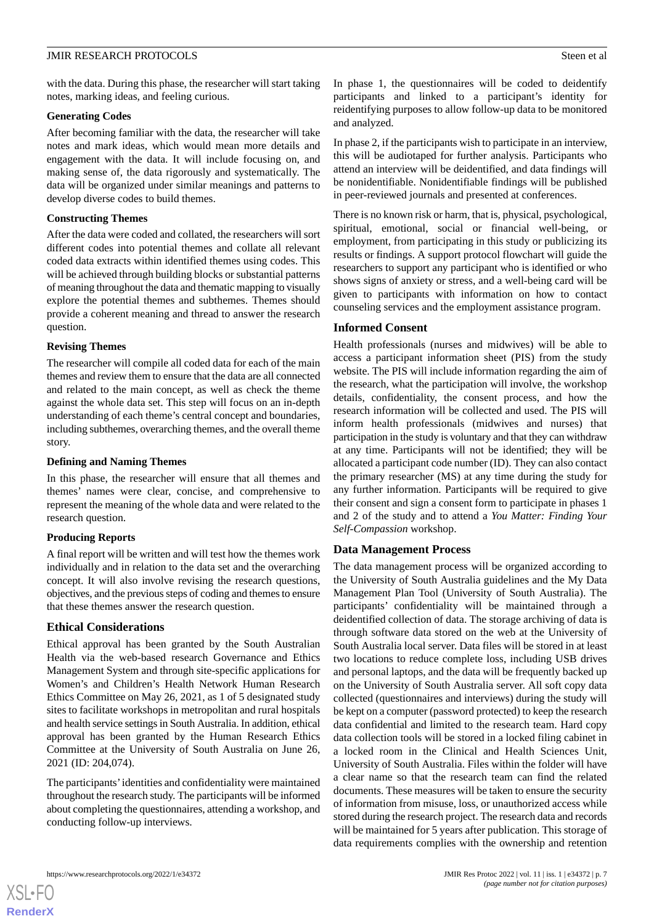with the data. During this phase, the researcher will start taking notes, marking ideas, and feeling curious.

#### **Generating Codes**

After becoming familiar with the data, the researcher will take notes and mark ideas, which would mean more details and engagement with the data. It will include focusing on, and making sense of, the data rigorously and systematically. The data will be organized under similar meanings and patterns to develop diverse codes to build themes.

#### **Constructing Themes**

After the data were coded and collated, the researchers will sort different codes into potential themes and collate all relevant coded data extracts within identified themes using codes. This will be achieved through building blocks or substantial patterns of meaning throughout the data and thematic mapping to visually explore the potential themes and subthemes. Themes should provide a coherent meaning and thread to answer the research question.

#### **Revising Themes**

The researcher will compile all coded data for each of the main themes and review them to ensure that the data are all connected and related to the main concept, as well as check the theme against the whole data set. This step will focus on an in-depth understanding of each theme's central concept and boundaries, including subthemes, overarching themes, and the overall theme story.

#### **Defining and Naming Themes**

In this phase, the researcher will ensure that all themes and themes' names were clear, concise, and comprehensive to represent the meaning of the whole data and were related to the research question.

## **Producing Reports**

A final report will be written and will test how the themes work individually and in relation to the data set and the overarching concept. It will also involve revising the research questions, objectives, and the previous steps of coding and themes to ensure that these themes answer the research question.

## **Ethical Considerations**

Ethical approval has been granted by the South Australian Health via the web-based research Governance and Ethics Management System and through site-specific applications for Women's and Children's Health Network Human Research Ethics Committee on May 26, 2021, as 1 of 5 designated study sites to facilitate workshops in metropolitan and rural hospitals and health service settings in South Australia. In addition, ethical approval has been granted by the Human Research Ethics Committee at the University of South Australia on June 26, 2021 (ID: 204,074).

The participants'identities and confidentiality were maintained throughout the research study. The participants will be informed about completing the questionnaires, attending a workshop, and conducting follow-up interviews.

In phase 1, the questionnaires will be coded to deidentify participants and linked to a participant's identity for reidentifying purposes to allow follow-up data to be monitored and analyzed.

In phase 2, if the participants wish to participate in an interview, this will be audiotaped for further analysis. Participants who attend an interview will be deidentified, and data findings will be nonidentifiable. Nonidentifiable findings will be published in peer-reviewed journals and presented at conferences.

There is no known risk or harm, that is, physical, psychological, spiritual, emotional, social or financial well-being, or employment, from participating in this study or publicizing its results or findings. A support protocol flowchart will guide the researchers to support any participant who is identified or who shows signs of anxiety or stress, and a well-being card will be given to participants with information on how to contact counseling services and the employment assistance program.

## **Informed Consent**

Health professionals (nurses and midwives) will be able to access a participant information sheet (PIS) from the study website. The PIS will include information regarding the aim of the research, what the participation will involve, the workshop details, confidentiality, the consent process, and how the research information will be collected and used. The PIS will inform health professionals (midwives and nurses) that participation in the study is voluntary and that they can withdraw at any time. Participants will not be identified; they will be allocated a participant code number (ID). They can also contact the primary researcher (MS) at any time during the study for any further information. Participants will be required to give their consent and sign a consent form to participate in phases 1 and 2 of the study and to attend a *You Matter: Finding Your Self-Compassion* workshop.

## **Data Management Process**

The data management process will be organized according to the University of South Australia guidelines and the My Data Management Plan Tool (University of South Australia). The participants' confidentiality will be maintained through a deidentified collection of data. The storage archiving of data is through software data stored on the web at the University of South Australia local server. Data files will be stored in at least two locations to reduce complete loss, including USB drives and personal laptops, and the data will be frequently backed up on the University of South Australia server. All soft copy data collected (questionnaires and interviews) during the study will be kept on a computer (password protected) to keep the research data confidential and limited to the research team. Hard copy data collection tools will be stored in a locked filing cabinet in a locked room in the Clinical and Health Sciences Unit, University of South Australia. Files within the folder will have a clear name so that the research team can find the related documents. These measures will be taken to ensure the security of information from misuse, loss, or unauthorized access while stored during the research project. The research data and records will be maintained for 5 years after publication. This storage of data requirements complies with the ownership and retention

 $XS$  $\cdot$ FC **[RenderX](http://www.renderx.com/)**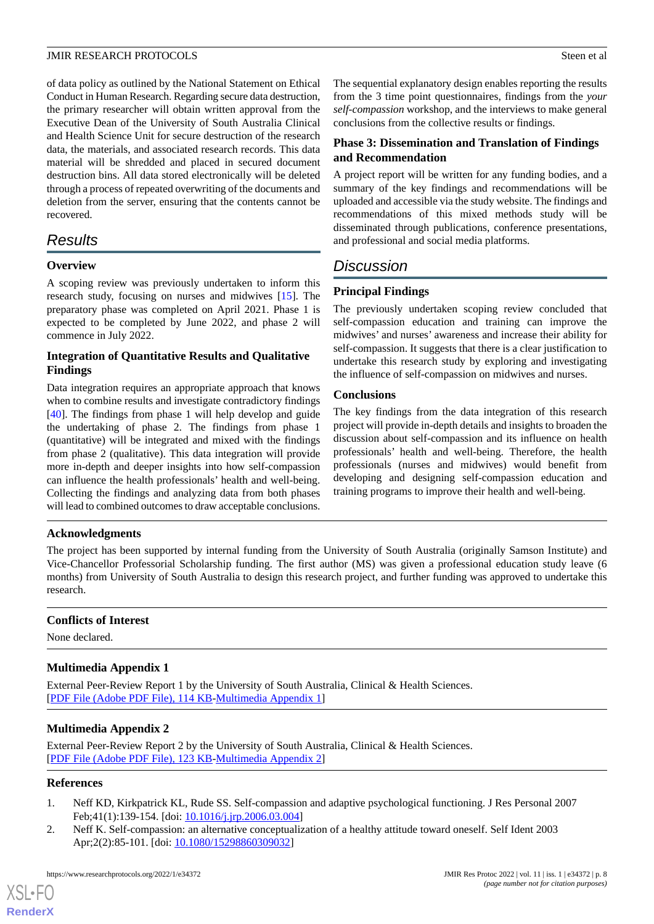of data policy as outlined by the National Statement on Ethical Conduct in Human Research. Regarding secure data destruction, the primary researcher will obtain written approval from the Executive Dean of the University of South Australia Clinical and Health Science Unit for secure destruction of the research data, the materials, and associated research records. This data material will be shredded and placed in secured document destruction bins. All data stored electronically will be deleted through a process of repeated overwriting of the documents and deletion from the server, ensuring that the contents cannot be recovered.

## *Results*

#### **Overview**

A scoping review was previously undertaken to inform this research study, focusing on nurses and midwives [[15\]](#page-8-11). The preparatory phase was completed on April 2021. Phase 1 is expected to be completed by June 2022, and phase 2 will commence in July 2022.

## **Integration of Quantitative Results and Qualitative Findings**

Data integration requires an appropriate approach that knows when to combine results and investigate contradictory findings [[40\]](#page-9-13). The findings from phase 1 will help develop and guide the undertaking of phase 2. The findings from phase 1 (quantitative) will be integrated and mixed with the findings from phase 2 (qualitative). This data integration will provide more in-depth and deeper insights into how self-compassion can influence the health professionals' health and well-being. Collecting the findings and analyzing data from both phases will lead to combined outcomes to draw acceptable conclusions.

The sequential explanatory design enables reporting the results from the 3 time point questionnaires, findings from the *your self-compassion* workshop, and the interviews to make general conclusions from the collective results or findings.

### **Phase 3: Dissemination and Translation of Findings and Recommendation**

A project report will be written for any funding bodies, and a summary of the key findings and recommendations will be uploaded and accessible via the study website. The findings and recommendations of this mixed methods study will be disseminated through publications, conference presentations, and professional and social media platforms.

## *Discussion*

### **Principal Findings**

The previously undertaken scoping review concluded that self-compassion education and training can improve the midwives' and nurses' awareness and increase their ability for self-compassion. It suggests that there is a clear justification to undertake this research study by exploring and investigating the influence of self-compassion on midwives and nurses.

### **Conclusions**

The key findings from the data integration of this research project will provide in-depth details and insights to broaden the discussion about self-compassion and its influence on health professionals' health and well-being. Therefore, the health professionals (nurses and midwives) would benefit from developing and designing self-compassion education and training programs to improve their health and well-being.

### **Acknowledgments**

The project has been supported by internal funding from the University of South Australia (originally Samson Institute) and Vice-Chancellor Professorial Scholarship funding. The first author (MS) was given a professional education study leave (6 months) from University of South Australia to design this research project, and further funding was approved to undertake this research.

## **Conflicts of Interest**

None declared.

#### **Multimedia Appendix 1**

External Peer-Review Report 1 by the University of South Australia, Clinical & Health Sciences. [[PDF File \(Adobe PDF File\), 114 KB](https://jmir.org/api/download?alt_name=resprot_v11i1e34372_app1.pdf&filename=90904548e7ba7cc00cab42b33f40902c.pdf)-[Multimedia Appendix 1\]](https://jmir.org/api/download?alt_name=resprot_v11i1e34372_app1.pdf&filename=90904548e7ba7cc00cab42b33f40902c.pdf)

#### <span id="page-7-0"></span>**Multimedia Appendix 2**

<span id="page-7-1"></span>External Peer-Review Report 2 by the University of South Australia, Clinical & Health Sciences. [[PDF File \(Adobe PDF File\), 123 KB](https://jmir.org/api/download?alt_name=resprot_v11i1e34372_app2.pdf&filename=683a78f580425fb0b9fa717652dd3074.pdf)-[Multimedia Appendix 2\]](https://jmir.org/api/download?alt_name=resprot_v11i1e34372_app2.pdf&filename=683a78f580425fb0b9fa717652dd3074.pdf)

#### **References**

- 1. Neff KD, Kirkpatrick KL, Rude SS. Self-compassion and adaptive psychological functioning. J Res Personal 2007 Feb; 41(1): 139-154. [doi: 10.1016/j.jrp. 2006.03.004]
- 2. Neff K. Self-compassion: an alternative conceptualization of a healthy attitude toward oneself. Self Ident 2003 Apr;2(2):85-101. [doi: [10.1080/15298860309032](http://dx.doi.org/10.1080/15298860309032)]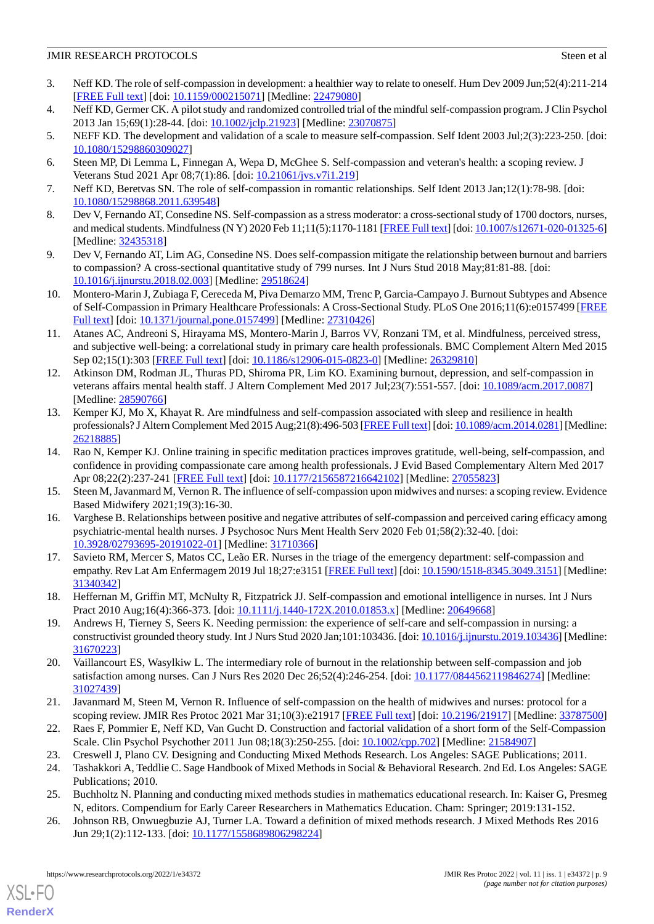- <span id="page-8-0"></span>3. Neff KD. The role of self-compassion in development: a healthier way to relate to oneself. Hum Dev 2009 Jun;52(4):211-214 [[FREE Full text](https://www.karger.com?DOI=10.1159/000215071)] [doi: [10.1159/000215071\]](http://dx.doi.org/10.1159/000215071) [Medline: [22479080\]](http://www.ncbi.nlm.nih.gov/entrez/query.fcgi?cmd=Retrieve&db=PubMed&list_uids=22479080&dopt=Abstract)
- <span id="page-8-2"></span><span id="page-8-1"></span>4. Neff KD, Germer CK. A pilot study and randomized controlled trial of the mindful self-compassion program. J Clin Psychol 2013 Jan 15;69(1):28-44. [doi: [10.1002/jclp.21923\]](http://dx.doi.org/10.1002/jclp.21923) [Medline: [23070875](http://www.ncbi.nlm.nih.gov/entrez/query.fcgi?cmd=Retrieve&db=PubMed&list_uids=23070875&dopt=Abstract)]
- <span id="page-8-3"></span>5. NEFF KD. The development and validation of a scale to measure self-compassion. Self Ident 2003 Jul;2(3):223-250. [doi: [10.1080/15298860309027\]](http://dx.doi.org/10.1080/15298860309027)
- <span id="page-8-4"></span>6. Steen MP, Di Lemma L, Finnegan A, Wepa D, McGhee S. Self-compassion and veteran's health: a scoping review. J Veterans Stud 2021 Apr 08;7(1):86. [doi: [10.21061/jvs.v7i1.219](http://dx.doi.org/10.21061/jvs.v7i1.219)]
- <span id="page-8-5"></span>7. Neff KD, Beretvas SN. The role of self-compassion in romantic relationships. Self Ident 2013 Jan;12(1):78-98. [doi: [10.1080/15298868.2011.639548\]](http://dx.doi.org/10.1080/15298868.2011.639548)
- 8. Dev V, Fernando AT, Consedine NS. Self-compassion as a stress moderator: a cross-sectional study of 1700 doctors, nurses, and medical students. Mindfulness (N Y) 2020 Feb 11;11(5):1170-1181 [\[FREE Full text](http://europepmc.org/abstract/MED/32435318)] [doi: [10.1007/s12671-020-01325-6](http://dx.doi.org/10.1007/s12671-020-01325-6)] [Medline: [32435318](http://www.ncbi.nlm.nih.gov/entrez/query.fcgi?cmd=Retrieve&db=PubMed&list_uids=32435318&dopt=Abstract)]
- <span id="page-8-7"></span>9. Dev V, Fernando AT, Lim AG, Consedine NS. Does self-compassion mitigate the relationship between burnout and barriers to compassion? A cross-sectional quantitative study of 799 nurses. Int J Nurs Stud 2018 May;81:81-88. [doi: [10.1016/j.ijnurstu.2018.02.003](http://dx.doi.org/10.1016/j.ijnurstu.2018.02.003)] [Medline: [29518624\]](http://www.ncbi.nlm.nih.gov/entrez/query.fcgi?cmd=Retrieve&db=PubMed&list_uids=29518624&dopt=Abstract)
- <span id="page-8-6"></span>10. Montero-Marin J, Zubiaga F, Cereceda M, Piva Demarzo MM, Trenc P, Garcia-Campayo J. Burnout Subtypes and Absence of Self-Compassion in Primary Healthcare Professionals: A Cross-Sectional Study. PLoS One 2016;11(6):e0157499 [\[FREE](https://dx.plos.org/10.1371/journal.pone.0157499) [Full text\]](https://dx.plos.org/10.1371/journal.pone.0157499) [doi: [10.1371/journal.pone.0157499](http://dx.doi.org/10.1371/journal.pone.0157499)] [Medline: [27310426](http://www.ncbi.nlm.nih.gov/entrez/query.fcgi?cmd=Retrieve&db=PubMed&list_uids=27310426&dopt=Abstract)]
- <span id="page-8-8"></span>11. Atanes AC, Andreoni S, Hirayama MS, Montero-Marin J, Barros VV, Ronzani TM, et al. Mindfulness, perceived stress, and subjective well-being: a correlational study in primary care health professionals. BMC Complement Altern Med 2015 Sep 02;15(1):303 [\[FREE Full text](https://bmccomplementalternmed.biomedcentral.com/articles/10.1186/s12906-015-0823-0)] [doi: [10.1186/s12906-015-0823-0\]](http://dx.doi.org/10.1186/s12906-015-0823-0) [Medline: [26329810\]](http://www.ncbi.nlm.nih.gov/entrez/query.fcgi?cmd=Retrieve&db=PubMed&list_uids=26329810&dopt=Abstract)
- <span id="page-8-9"></span>12. Atkinson DM, Rodman JL, Thuras PD, Shiroma PR, Lim KO. Examining burnout, depression, and self-compassion in veterans affairs mental health staff. J Altern Complement Med 2017 Jul;23(7):551-557. [doi: [10.1089/acm.2017.0087](http://dx.doi.org/10.1089/acm.2017.0087)] [Medline: [28590766](http://www.ncbi.nlm.nih.gov/entrez/query.fcgi?cmd=Retrieve&db=PubMed&list_uids=28590766&dopt=Abstract)]
- <span id="page-8-10"></span>13. Kemper KJ, Mo X, Khayat R. Are mindfulness and self-compassion associated with sleep and resilience in health professionals? J Altern Complement Med 2015 Aug;21(8):496-503 [\[FREE Full text](http://europepmc.org/abstract/MED/26218885)] [doi: [10.1089/acm.2014.0281](http://dx.doi.org/10.1089/acm.2014.0281)] [Medline: [26218885](http://www.ncbi.nlm.nih.gov/entrez/query.fcgi?cmd=Retrieve&db=PubMed&list_uids=26218885&dopt=Abstract)]
- <span id="page-8-12"></span><span id="page-8-11"></span>14. Rao N, Kemper KJ. Online training in specific meditation practices improves gratitude, well-being, self-compassion, and confidence in providing compassionate care among health professionals. J Evid Based Complementary Altern Med 2017 Apr 08;22(2):237-241 [[FREE Full text](http://europepmc.org/abstract/MED/27055823)] [doi: [10.1177/2156587216642102\]](http://dx.doi.org/10.1177/2156587216642102) [Medline: [27055823\]](http://www.ncbi.nlm.nih.gov/entrez/query.fcgi?cmd=Retrieve&db=PubMed&list_uids=27055823&dopt=Abstract)
- <span id="page-8-13"></span>15. Steen M, Javanmard M, Vernon R. The influence of self-compassion upon midwives and nurses: a scoping review. Evidence Based Midwifery 2021;19(3):16-30.
- <span id="page-8-14"></span>16. Varghese B. Relationships between positive and negative attributes of self-compassion and perceived caring efficacy among psychiatric-mental health nurses. J Psychosoc Nurs Ment Health Serv 2020 Feb 01;58(2):32-40. [doi: [10.3928/02793695-20191022-01](http://dx.doi.org/10.3928/02793695-20191022-01)] [Medline: [31710366](http://www.ncbi.nlm.nih.gov/entrez/query.fcgi?cmd=Retrieve&db=PubMed&list_uids=31710366&dopt=Abstract)]
- <span id="page-8-15"></span>17. Savieto RM, Mercer S, Matos CC, Leão ER. Nurses in the triage of the emergency department: self-compassion and empathy. Rev Lat Am Enfermagem 2019 Jul 18;27:e3151 [\[FREE Full text](https://www.scielo.br/scielo.php?script=sci_arttext&pid=S0104-11692019000100340&lng=en&nrm=iso&tlng=en)] [doi: [10.1590/1518-8345.3049.3151](http://dx.doi.org/10.1590/1518-8345.3049.3151)] [Medline: [31340342](http://www.ncbi.nlm.nih.gov/entrez/query.fcgi?cmd=Retrieve&db=PubMed&list_uids=31340342&dopt=Abstract)]
- <span id="page-8-16"></span>18. Heffernan M, Griffin MT, McNulty R, Fitzpatrick JJ. Self-compassion and emotional intelligence in nurses. Int J Nurs Pract 2010 Aug;16(4):366-373. [doi: [10.1111/j.1440-172X.2010.01853.x\]](http://dx.doi.org/10.1111/j.1440-172X.2010.01853.x) [Medline: [20649668\]](http://www.ncbi.nlm.nih.gov/entrez/query.fcgi?cmd=Retrieve&db=PubMed&list_uids=20649668&dopt=Abstract)
- <span id="page-8-17"></span>19. Andrews H, Tierney S, Seers K. Needing permission: the experience of self-care and self-compassion in nursing: a constructivist grounded theory study. Int J Nurs Stud 2020 Jan;101:103436. [doi: [10.1016/j.ijnurstu.2019.103436](http://dx.doi.org/10.1016/j.ijnurstu.2019.103436)] [Medline: [31670223](http://www.ncbi.nlm.nih.gov/entrez/query.fcgi?cmd=Retrieve&db=PubMed&list_uids=31670223&dopt=Abstract)]
- <span id="page-8-19"></span><span id="page-8-18"></span>20. Vaillancourt ES, Wasylkiw L. The intermediary role of burnout in the relationship between self-compassion and job satisfaction among nurses. Can J Nurs Res 2020 Dec 26;52(4):246-254. [doi: [10.1177/0844562119846274](http://dx.doi.org/10.1177/0844562119846274)] [Medline: [31027439](http://www.ncbi.nlm.nih.gov/entrez/query.fcgi?cmd=Retrieve&db=PubMed&list_uids=31027439&dopt=Abstract)]
- <span id="page-8-20"></span>21. Javanmard M, Steen M, Vernon R. Influence of self-compassion on the health of midwives and nurses: protocol for a scoping review. JMIR Res Protoc 2021 Mar 31;10(3):e21917 [\[FREE Full text](https://www.researchprotocols.org/2021/3/e21917/)] [doi: [10.2196/21917](http://dx.doi.org/10.2196/21917)] [Medline: [33787500](http://www.ncbi.nlm.nih.gov/entrez/query.fcgi?cmd=Retrieve&db=PubMed&list_uids=33787500&dopt=Abstract)]
- <span id="page-8-22"></span><span id="page-8-21"></span>22. Raes F, Pommier E, Neff KD, Van Gucht D. Construction and factorial validation of a short form of the Self-Compassion Scale. Clin Psychol Psychother 2011 Jun 08;18(3):250-255. [doi: [10.1002/cpp.702](http://dx.doi.org/10.1002/cpp.702)] [Medline: [21584907\]](http://www.ncbi.nlm.nih.gov/entrez/query.fcgi?cmd=Retrieve&db=PubMed&list_uids=21584907&dopt=Abstract)
- 23. Creswell J, Plano CV. Designing and Conducting Mixed Methods Research. Los Angeles: SAGE Publications; 2011.
- 24. Tashakkori A, Teddlie C. Sage Handbook of Mixed Methods in Social & Behavioral Research. 2nd Ed. Los Angeles: SAGE Publications; 2010.
- 25. Buchholtz N. Planning and conducting mixed methods studies in mathematics educational research. In: Kaiser G, Presmeg N, editors. Compendium for Early Career Researchers in Mathematics Education. Cham: Springer; 2019:131-152.
- 26. Johnson RB, Onwuegbuzie AJ, Turner LA. Toward a definition of mixed methods research. J Mixed Methods Res 2016 Jun 29;1(2):112-133. [doi: [10.1177/1558689806298224](http://dx.doi.org/10.1177/1558689806298224)]